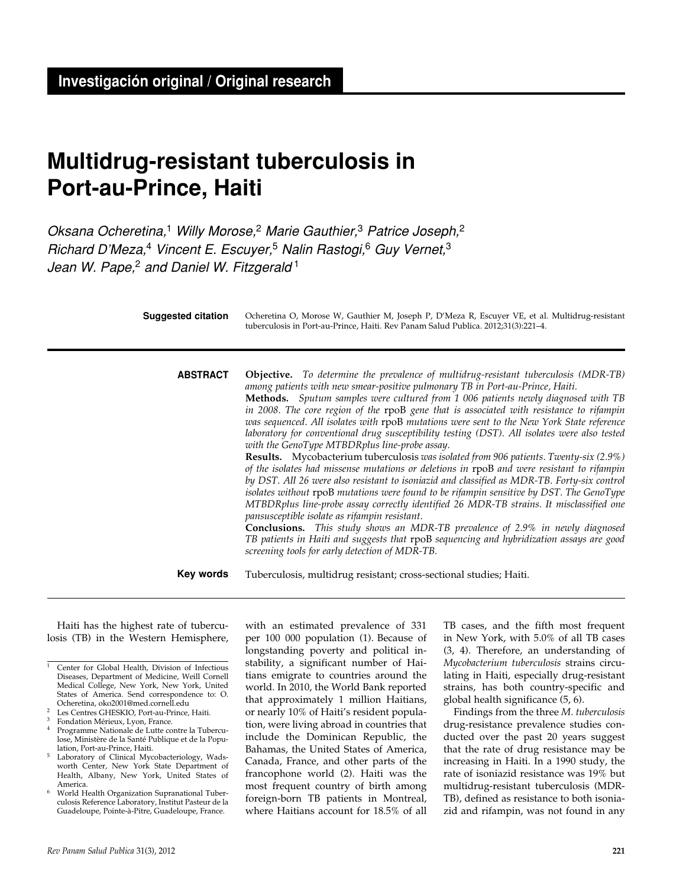# **Multidrug-resistant tuberculosis in Port-au-Prince, Haiti**

*Oksana Ocheretina,*1 *Willy Morose,*2 *Marie Gauthier,*3 *Patrice Joseph,*<sup>2</sup> *Richard D'Meza,*4 *Vincent E. Escuyer,*5 *Nalin Rastogi,*6 *Guy Vernet,*<sup>3</sup> *Jean W. Pape,*2 *and Daniel W. Fitzgerald* <sup>1</sup>

Ocheretina O, Morose W, Gauthier M, Joseph P, D'Meza R, Escuyer VE, et al. Multidrug-resistant tuberculosis in Port-au-Prince, Haiti. Rev Panam Salud Publica. 2012;31(3):221–4. **Suggested citation Objective.** *To determine the prevalence of multidrug-resistant tuberculosis (MDR-TB) among patients with new smear-positive pulmonary TB in Port-au-Prince, Haiti.* **Methods.** *Sputum samples were cultured from 1 006 patients newly diagnosed with TB in 2008. The core region of the* rpoB *gene that is associated with resistance to rifampin was sequenced. All isolates with* rpoB *mutations were sent to the New York State reference laboratory for conventional drug susceptibility testing (DST). All isolates were also tested with the GenoType MTBDRplus line-probe assay.* **Results.** Mycobacterium tuberculosis *was isolated from 906 patients. Twenty-six (2.9%) of the isolates had missense mutations or deletions in* rpoB *and were resistant to rifampin by DST. All 26 were also resistant to isoniazid and classified as MDR-TB. Forty-six control isolates without* rpoB *mutations were found to be rifampin sensitive by DST. The GenoType MTBDRplus line-probe assay correctly identified 26 MDR-TB strains. It misclassified one pansusceptible isolate as rifampin resistant.* **Conclusions.** *This study shows an MDR-TB prevalence of 2.9% in newly diagnosed TB patients in Haiti and suggests that* rpoB *sequencing and hybridization assays are good screening tools for early detection of MDR-TB.* Tuberculosis, multidrug resistant; cross-sectional studies; Haiti. **abstract Key words**

Haiti has the highest rate of tuberculosis (TB) in the Western Hemisphere,

with an estimated prevalence of 331 per 100 000 population (1). Because of longstanding poverty and political instability, a significant number of Haitians emigrate to countries around the world. In 2010, the World Bank reported that approximately 1 million Haitians, or nearly 10% of Haiti's resident population, were living abroad in countries that include the Dominican Republic, the Bahamas, the United States of America, Canada, France, and other parts of the francophone world (2). Haiti was the most frequent country of birth among foreign-born TB patients in Montreal, where Haitians account for 18.5% of all TB cases, and the fifth most frequent in New York, with 5.0% of all TB cases (3, 4). Therefore, an understanding of *Mycobacterium tuberculosis* strains circulating in Haiti, especially drug-resistant strains, has both country-specific and global health significance (5, 6).

Findings from the three *M. tuberculosis* drug-resistance prevalence studies conducted over the past 20 years suggest that the rate of drug resistance may be increasing in Haiti. In a 1990 study, the rate of isoniazid resistance was 19% but multidrug-resistant tuberculosis (MDR-TB), defined as resistance to both isoniazid and rifampin, was not found in any

<sup>1</sup> Center for Global Health, Division of Infectious Diseases, Department of Medicine, Weill Cornell Medical College, New York, New York, United States of America. Send correspondence to: O. Ocheretina, oko2001@med.cornell.edu 2 Les Centres GHESKIO, Port-au-Prince, Haiti.

 $3$  Fondation Mérieux, Lyon, France.

Programme Nationale de Lutte contre la Tuberculose, Ministère de la Santé Publique et de la Population, Port-au-Prince, Haiti.

Laboratory of Clinical Mycobacteriology, Wadsworth Center, New York State Department of Health, Albany, New York, United States of America.

World Health Organization Supranational Tuberculosis Reference Laboratory, Institut Pasteur de la Guadeloupe, Pointe-à-Pitre, Guadeloupe, France.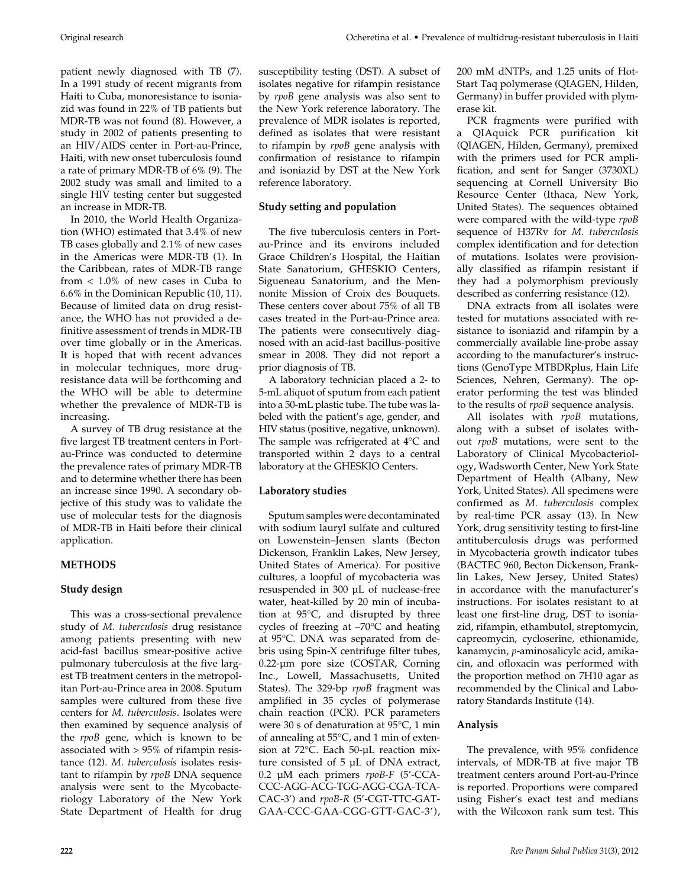patient newly diagnosed with TB (7). In a 1991 study of recent migrants from Haiti to Cuba, monoresistance to isoniazid was found in 22% of TB patients but MDR-TB was not found (8). However, a study in 2002 of patients presenting to an HIV/AIDS center in Port-au-Prince, Haiti, with new onset tuberculosis found a rate of primary MDR-TB of 6% (9). The 2002 study was small and limited to a single HIV testing center but suggested an increase in MDR-TB.

In 2010, the World Health Organization (WHO) estimated that 3.4% of new TB cases globally and 2.1% of new cases in the Americas were MDR-TB (1). In the Caribbean, rates of MDR-TB range from < 1.0% of new cases in Cuba to 6.6% in the Dominican Republic (10, 11). Because of limited data on drug resistance, the WHO has not provided a definitive assessment of trends in MDR-TB over time globally or in the Americas. It is hoped that with recent advances in molecular techniques, more drugresistance data will be forthcoming and the WHO will be able to determine whether the prevalence of MDR-TB is increasing.

A survey of TB drug resistance at the five largest TB treatment centers in Portau-Prince was conducted to determine the prevalence rates of primary MDR-TB and to determine whether there has been an increase since 1990. A secondary objective of this study was to validate the use of molecular tests for the diagnosis of MDR-TB in Haiti before their clinical application.

# **METHODS**

# **Study design**

This was a cross-sectional prevalence study of *M. tuberculosis* drug resistance among patients presenting with new acid-fast bacillus smear-positive active pulmonary tuberculosis at the five largest TB treatment centers in the metropolitan Port-au-Prince area in 2008. Sputum samples were cultured from these five centers for *M. tuberculosis*. Isolates were then examined by sequence analysis of the *rpoB* gene, which is known to be associated with > 95% of rifampin resistance (12). *M. tuberculosis* isolates resistant to rifampin by *rpoB* DNA sequence analysis were sent to the Mycobacteriology Laboratory of the New York State Department of Health for drug

susceptibility testing (DST). A subset of isolates negative for rifampin resistance by *rpoB* gene analysis was also sent to the New York reference laboratory. The prevalence of MDR isolates is reported, defined as isolates that were resistant to rifampin by *rpoB* gene analysis with confirmation of resistance to rifampin and isoniazid by DST at the New York reference laboratory.

# **Study setting and population**

The five tuberculosis centers in Portau-Prince and its environs included Grace Children's Hospital, the Haitian State Sanatorium, GHESKIO Centers, Sigueneau Sanatorium, and the Mennonite Mission of Croix des Bouquets. These centers cover about 75% of all TB cases treated in the Port-au-Prince area. The patients were consecutively diagnosed with an acid-fast bacillus-positive smear in 2008. They did not report a prior diagnosis of TB.

A laboratory technician placed a 2- to 5-mL aliquot of sputum from each patient into a 50-mL plastic tube. The tube was labeled with the patient's age, gender, and HIV status (positive, negative, unknown). The sample was refrigerated at 4°C and transported within 2 days to a central laboratory at the GHESKIO Centers.

# **Laboratory studies**

Sputum samples were decontaminated with sodium lauryl sulfate and cultured on Lowenstein–Jensen slants (Becton Dickenson, Franklin Lakes, New Jersey, United States of America). For positive cultures, a loopful of mycobacteria was resuspended in 300 µL of nuclease-free water, heat-killed by 20 min of incubation at 95°C, and disrupted by three cycles of freezing at –70°C and heating at 95°C. DNA was separated from debris using Spin-X centrifuge filter tubes, 0.22-µm pore size (COSTAR, Corning Inc., Lowell, Massachusetts, United States). The 329-bp *rpoB* fragment was amplified in 35 cycles of polymerase chain reaction (PCR). PCR parameters were 30 s of denaturation at 95°C, 1 min of annealing at 55°C, and 1 min of extension at 72°C. Each 50-µL reaction mixture consisted of 5 µL of DNA extract, 0.2 µM each primers *rpoB-F* (5'-CCA-CCC-AGG-ACG-TGG-AGG-CGA-TCA-CAC-3') and *rpoB-R* (5'-CGT-TTC-GAT-GAA-CCC-GAA-CGG-GTT-GAC-3'),

200 mM dNTPs, and 1.25 units of Hot-Start Taq polymerase (QIAGEN, Hilden, Germany) in buffer provided with plymerase kit.

PCR fragments were purified with a QIAquick PCR purification kit (QIAGEN, Hilden, Germany), premixed with the primers used for PCR amplification, and sent for Sanger (3730XL) sequencing at Cornell University Bio Resource Center (Ithaca, New York, United States). The sequences obtained were compared with the wild-type *rpoB* sequence of H37Rv for *M. tuberculosis* complex identification and for detection of mutations. Isolates were provisionally classified as rifampin resistant if they had a polymorphism previously described as conferring resistance (12).

DNA extracts from all isolates were tested for mutations associated with resistance to isoniazid and rifampin by a commercially available line-probe assay according to the manufacturer's instructions (GenoType MTBDRplus, Hain Life Sciences, Nehren, Germany). The operator performing the test was blinded to the results of *rpoB* sequence analysis.

All isolates with *rpoB* mutations, along with a subset of isolates without *rpoB* mutations, were sent to the Laboratory of Clinical Mycobacteriology, Wadsworth Center, New York State Department of Health (Albany, New York, United States). All specimens were confirmed as *M. tuberculosis* complex by real-time PCR assay (13). In New York, drug sensitivity testing to first-line antituberculosis drugs was performed in Mycobacteria growth indicator tubes (BACTEC 960, Becton Dickenson, Franklin Lakes, New Jersey, United States) in accordance with the manufacturer's instructions. For isolates resistant to at least one first-line drug, DST to isoniazid, rifampin, ethambutol, streptomycin, capreomycin, cycloserine, ethionamide, kanamycin, *p*-aminosalicylc acid, amikacin, and ofloxacin was performed with the proportion method on 7H10 agar as recommended by the Clinical and Laboratory Standards Institute (14).

# **Analysis**

The prevalence, with 95% confidence intervals, of MDR-TB at five major TB treatment centers around Port-au-Prince is reported. Proportions were compared using Fisher's exact test and medians with the Wilcoxon rank sum test. This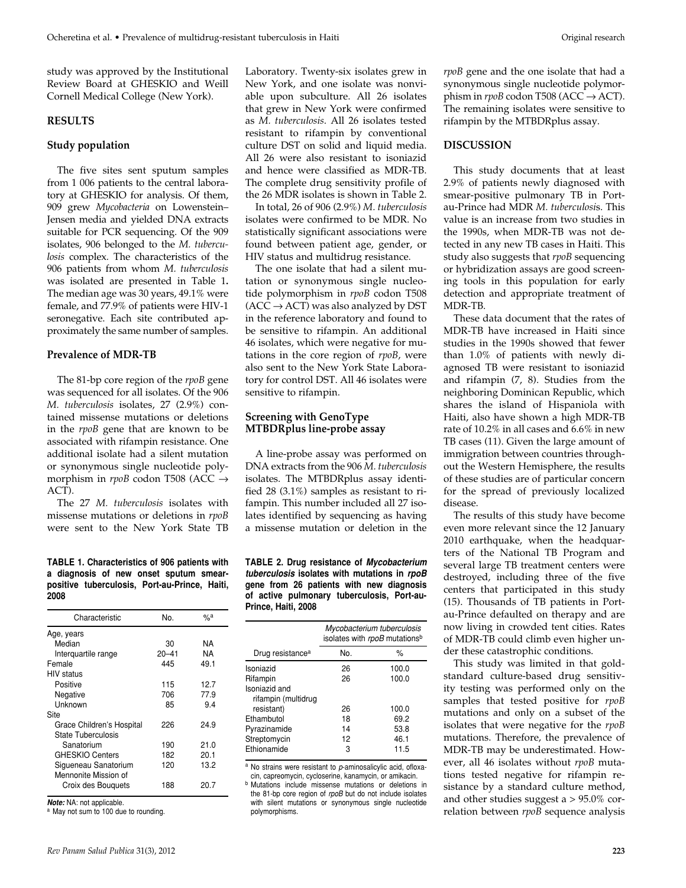study was approved by the Institutional Review Board at GHESKIO and Weill Cornell Medical College (New York).

#### **RESULTS**

#### **Study population**

The five sites sent sputum samples from 1 006 patients to the central laboratory at GHESKIO for analysis. Of them, 909 grew *Mycobacteria* on Lowenstein– Jensen media and yielded DNA extracts suitable for PCR sequencing. Of the 909 isolates, 906 belonged to the *M. tuberculosis* complex*.* The characteristics of the 906 patients from whom *M. tuberculosis*  was isolated are presented in Table 1**.** The median age was 30 years, 49.1% were female, and 77.9% of patients were HIV-1 seronegative. Each site contributed approximately the same number of samples.

#### **Prevalence of MDR-TB**

The 81-bp core region of the *rpoB* gene was sequenced for all isolates. Of the 906 *M. tuberculosis* isolates, 27 (2.9%) contained missense mutations or deletions in the *rpoB* gene that are known to be associated with rifampin resistance. One additional isolate had a silent mutation or synonymous single nucleotide polymorphism in *rpoB* codon T508 (ACC → ACT).

The 27 *M. tuberculosis* isolates with missense mutations or deletions in *rpoB* were sent to the New York State TB

#### **TABLE 1. Characteristics of 906 patients with a diagnosis of new onset sputum smearpositive tuberculosis, Port-au-Prince, Haiti, 2008**

| Characteristic            | No.       | $\%$ a |
|---------------------------|-----------|--------|
| Age, years                |           |        |
| Median                    | 30        | ΝA     |
| Interquartile range       | $20 - 41$ | ΝA     |
| Female                    | 445       | 49.1   |
| <b>HIV</b> status         |           |        |
| Positive                  | 115       | 12.7   |
| Negative                  | 706       | 77.9   |
| Unknown                   | 85        | 9.4    |
| Site                      |           |        |
| Grace Children's Hospital | 226       | 24.9   |
| State Tuberculosis        |           |        |
| Sanatorium                | 190       | 21.0   |
| <b>GHESKIO Centers</b>    | 182       | 20.1   |
| Sigueneau Sanatorium      | 120       | 13.2   |
| Mennonite Mission of      |           |        |
| Croix des Bouquets        | 188       | 20.7   |
|                           |           |        |

*Note:* NA: not applicable.

a May not sum to 100 due to rounding.

Laboratory. Twenty-six isolates grew in New York, and one isolate was nonviable upon subculture. All 26 isolates that grew in New York were confirmed as *M. tuberculosis*. All 26 isolates tested resistant to rifampin by conventional culture DST on solid and liquid media. All 26 were also resistant to isoniazid and hence were classified as MDR-TB. The complete drug sensitivity profile of the 26 MDR isolates is shown in Table 2.

In total, 26 of 906 (2.9%) *M. tuberculosis*  isolates were confirmed to be MDR. No statistically significant associations were found between patient age, gender, or HIV status and multidrug resistance.

The one isolate that had a silent mutation or synonymous single nucleotide polymorphism in *rpoB* codon T508  $(ACC \rightarrow ACT)$  was also analyzed by DST in the reference laboratory and found to be sensitive to rifampin. An additional 46 isolates, which were negative for mutations in the core region of *rpoB*, were also sent to the New York State Laboratory for control DST. All 46 isolates were sensitive to rifampin.

### **Screening with GenoType MTBDRplus line-probe assay**

A line-probe assay was performed on DNA extracts from the 906 *M. tuberculosis* isolates. The MTBDRplus assay identified 28 (3.1%) samples as resistant to rifampin. This number included all 27 isolates identified by sequencing as having a missense mutation or deletion in the

#### **TABLE 2. Drug resistance of** *Mycobacterium tuberculosis* **isolates with mutations in** *rpoB* **gene from 26 patients with new diagnosis of active pulmonary tuberculosis, Port-au-Prince, Haiti, 2008**

|                                      | Mycobacterium tuberculosis<br>isolates with rpoB mutations <sup>b</sup> |       |
|--------------------------------------|-------------------------------------------------------------------------|-------|
| Drug resistance <sup>a</sup>         | No.                                                                     | %     |
| Isoniazid                            | 26                                                                      | 100.0 |
| Rifampin                             | 26                                                                      | 100.0 |
| Isoniazid and<br>rifampin (multidrug |                                                                         |       |
| resistant)                           | 26                                                                      | 100.0 |
| Ethambutol                           | 18                                                                      | 69.2  |
| Pyrazinamide                         | 14                                                                      | 53.8  |
| Streptomycin                         | 12                                                                      | 46.1  |
| Ethionamide                          | 3                                                                       | 11.5  |

<sup>a</sup> No strains were resistant to *p*-aminosalicylic acid, ofloxacin, capreomycin, cycloserine, kanamycin, or amikacin.

Mutations include missense mutations or deletions in the 81-bp core region of *rpoB* but do not include isolates with silent mutations or synonymous single nucleotide polymorphisms.

*rpoB* gene and the one isolate that had a synonymous single nucleotide polymorphism in  $rpoB$  codon T508 (ACC  $\rightarrow$  ACT). The remaining isolates were sensitive to rifampin by the MTBDRplus assay.

## **DISCUSSION**

This study documents that at least 2.9% of patients newly diagnosed with smear-positive pulmonary TB in Portau-Prince had MDR *M. tuberculosi*s. This value is an increase from two studies in the 1990s, when MDR-TB was not detected in any new TB cases in Haiti. This study also suggests that *rpoB* sequencing or hybridization assays are good screening tools in this population for early detection and appropriate treatment of MDR-TB.

These data document that the rates of MDR-TB have increased in Haiti since studies in the 1990s showed that fewer than 1.0% of patients with newly diagnosed TB were resistant to isoniazid and rifampin (7, 8). Studies from the neighboring Dominican Republic, which shares the island of Hispaniola with Haiti, also have shown a high MDR-TB rate of 10.2% in all cases and 6.6% in new TB cases (11). Given the large amount of immigration between countries throughout the Western Hemisphere, the results of these studies are of particular concern for the spread of previously localized disease.

The results of this study have become even more relevant since the 12 January 2010 earthquake, when the headquarters of the National TB Program and several large TB treatment centers were destroyed, including three of the five centers that participated in this study (15). Thousands of TB patients in Portau-Prince defaulted on therapy and are now living in crowded tent cities. Rates of MDR-TB could climb even higher under these catastrophic conditions.

This study was limited in that goldstandard culture-based drug sensitivity testing was performed only on the samples that tested positive for *rpoB* mutations and only on a subset of the isolates that were negative for the *rpoB* mutations. Therefore, the prevalence of MDR-TB may be underestimated. However, all 46 isolates without *rpoB* mutations tested negative for rifampin resistance by a standard culture method, and other studies suggest a  $> 95.0\%$  correlation between *rpoB* sequence analysis